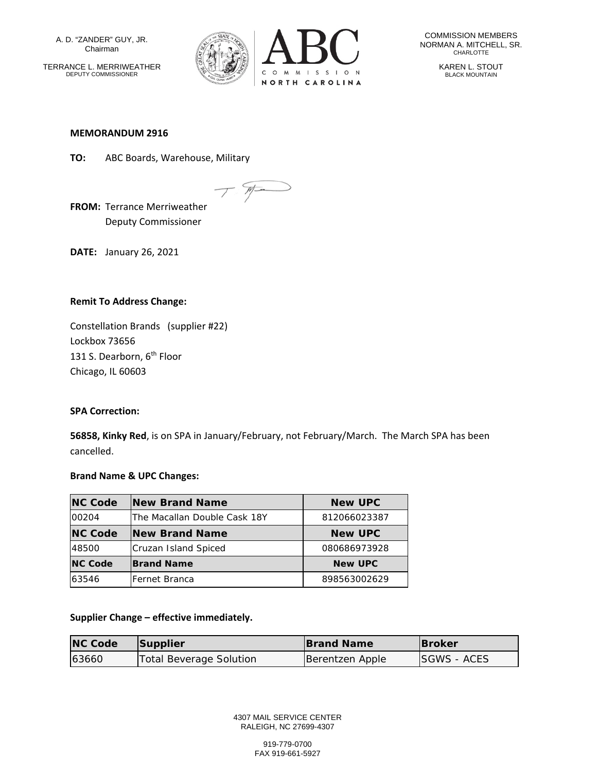A. D. "ZANDER" GUY, JR. Chairman

TERRANCE L. MERRIWEATHER DEPUTY COMMISSIONER



COMMISSION MEMBERS NORMAN A. MITCHELL, SR. CHARLOTTE

KAREN L. STOUT BLACK MOUNTAIN

#### **MEMORANDUM 2916**

**TO:** ABC Boards, Warehouse, Military

**FROM:** Terrance Merriweather

Deputy Commissioner

**DATE:** January 26, 2021

# **Remit To Address Change:**

Constellation Brands (supplier #22) Lockbox 73656 131 S. Dearborn, 6<sup>th</sup> Floor Chicago, IL 60603

# **SPA Correction:**

**56858, Kinky Red**, is on SPA in January/February, not February/March. The March SPA has been cancelled.

# **Brand Name & UPC Changes:**

| <b>NC Code</b> | <b>New Brand Name</b>         | <b>New UPC</b> |
|----------------|-------------------------------|----------------|
| 00204          | lThe Macallan Double Cask 18Y | 812066023387   |
| <b>NC Code</b> | <b>New Brand Name</b>         | <b>New UPC</b> |
| 48500          | Cruzan Island Spiced          | 080686973928   |
| <b>NC Code</b> | <b>Brand Name</b>             | <b>New UPC</b> |
| 63546          | lFernet Branca                | 898563002629   |

# **Supplier Change – effective immediately.**

| <b>NC Code</b> | Supplier                | <b>Brand Name</b> | <b>IBroker</b>     |
|----------------|-------------------------|-------------------|--------------------|
| 63660          | Total Beverage Solution | Berentzen Apple   | <b>SGWS - ACES</b> |

4307 MAIL SERVICE CENTER RALEIGH, NC 27699-4307